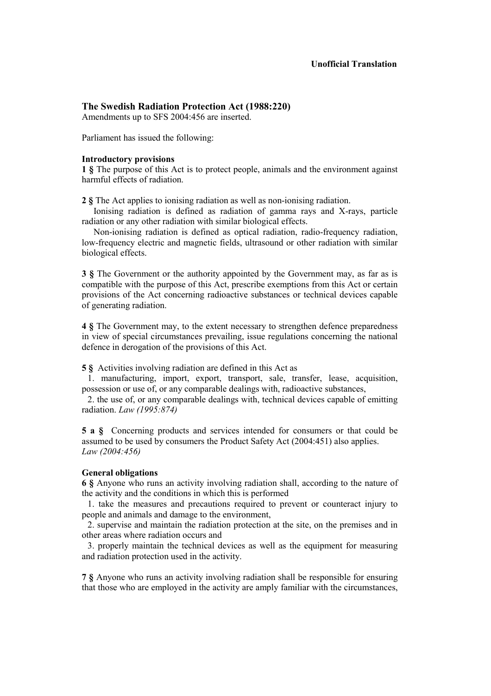# **The Swedish Radiation Protection Act (1988:220)**

Amendments up to SFS 2004:456 are inserted.

Parliament has issued the following:

#### **Introductory provisions**

**1 §** The purpose of this Act is to protect people, animals and the environment against harmful effects of radiation.

**2 §** The Act applies to ionising radiation as well as non-ionising radiation.

Ionising radiation is defined as radiation of gamma rays and X-rays, particle radiation or any other radiation with similar biological effects.

Non-ionising radiation is defined as optical radiation, radio-frequency radiation, low-frequency electric and magnetic fields, ultrasound or other radiation with similar biological effects.

**3 §** The Government or the authority appointed by the Government may, as far as is compatible with the purpose of this Act, prescribe exemptions from this Act or certain provisions of the Act concerning radioactive substances or technical devices capable of generating radiation.

**4 §** The Government may, to the extent necessary to strengthen defence preparedness in view of special circumstances prevailing, issue regulations concerning the national defence in derogation of the provisions of this Act.

**5 §** Activities involving radiation are defined in this Act as

1. manufacturing, import, export, transport, sale, transfer, lease, acquisition, possession or use of, or any comparable dealings with, radioactive substances,

2. the use of, or any comparable dealings with, technical devices capable of emitting radiation. *Law (1995:874)*

**5 a §** Concerning products and services intended for consumers or that could be assumed to be used by consumers the Product Safety Act (2004:451) also applies. *Law (2004:456)* 

## **General obligations**

**6 §** Anyone who runs an activity involving radiation shall, according to the nature of the activity and the conditions in which this is performed

1. take the measures and precautions required to prevent or counteract injury to people and animals and damage to the environment,

2. supervise and maintain the radiation protection at the site, on the premises and in other areas where radiation occurs and

3. properly maintain the technical devices as well as the equipment for measuring and radiation protection used in the activity.

**7 §** Anyone who runs an activity involving radiation shall be responsible for ensuring that those who are employed in the activity are amply familiar with the circumstances,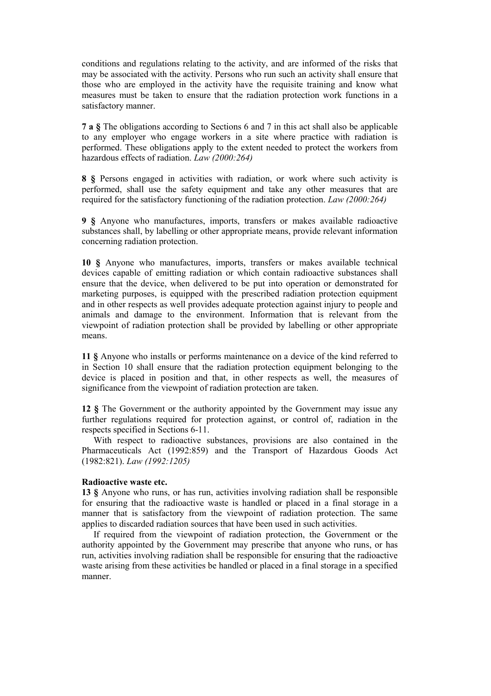conditions and regulations relating to the activity, and are informed of the risks that may be associated with the activity. Persons who run such an activity shall ensure that those who are employed in the activity have the requisite training and know what measures must be taken to ensure that the radiation protection work functions in a satisfactory manner.

**7 a §** The obligations according to Sections 6 and 7 in this act shall also be applicable to any employer who engage workers in a site where practice with radiation is performed. These obligations apply to the extent needed to protect the workers from hazardous effects of radiation. *Law (2000:264)*

**8 §** Persons engaged in activities with radiation, or work where such activity is performed, shall use the safety equipment and take any other measures that are required for the satisfactory functioning of the radiation protection. *Law (2000:264)*

**9 §** Anyone who manufactures, imports, transfers or makes available radioactive substances shall, by labelling or other appropriate means, provide relevant information concerning radiation protection.

**10 §** Anyone who manufactures, imports, transfers or makes available technical devices capable of emitting radiation or which contain radioactive substances shall ensure that the device, when delivered to be put into operation or demonstrated for marketing purposes, is equipped with the prescribed radiation protection equipment and in other respects as well provides adequate protection against injury to people and animals and damage to the environment. Information that is relevant from the viewpoint of radiation protection shall be provided by labelling or other appropriate means.

**11 §** Anyone who installs or performs maintenance on a device of the kind referred to in Section 10 shall ensure that the radiation protection equipment belonging to the device is placed in position and that, in other respects as well, the measures of significance from the viewpoint of radiation protection are taken.

**12 §** The Government or the authority appointed by the Government may issue any further regulations required for protection against, or control of, radiation in the respects specified in Sections 6-11.

With respect to radioactive substances, provisions are also contained in the Pharmaceuticals Act (1992:859) and the Transport of Hazardous Goods Act (1982:821). *Law (1992:1205)*

#### **Radioactive waste etc.**

**13 §** Anyone who runs, or has run, activities involving radiation shall be responsible for ensuring that the radioactive waste is handled or placed in a final storage in a manner that is satisfactory from the viewpoint of radiation protection. The same applies to discarded radiation sources that have been used in such activities.

If required from the viewpoint of radiation protection, the Government or the authority appointed by the Government may prescribe that anyone who runs, or has run, activities involving radiation shall be responsible for ensuring that the radioactive waste arising from these activities be handled or placed in a final storage in a specified manner.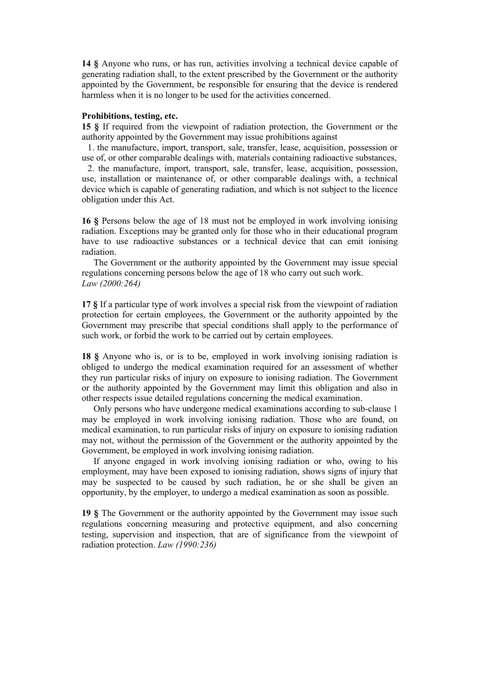**14 §** Anyone who runs, or has run, activities involving a technical device capable of generating radiation shall, to the extent prescribed by the Government or the authority appointed by the Government, be responsible for ensuring that the device is rendered harmless when it is no longer to be used for the activities concerned.

### **Prohibitions, testing, etc.**

**15 §** If required from the viewpoint of radiation protection, the Government or the authority appointed by the Government may issue prohibitions against

1. the manufacture, import, transport, sale, transfer, lease, acquisition, possession or use of, or other comparable dealings with, materials containing radioactive substances,

2. the manufacture, import, transport, sale, transfer, lease, acquisition, possession, use, installation or maintenance of, or other comparable dealings with, a technical device which is capable of generating radiation, and which is not subject to the licence obligation under this Act.

**16 §** Persons below the age of 18 must not be employed in work involving ionising radiation. Exceptions may be granted only for those who in their educational program have to use radioactive substances or a technical device that can emit ionising radiation.

The Government or the authority appointed by the Government may issue special regulations concerning persons below the age of 18 who carry out such work. *Law (2000:264)* 

**17 §** If a particular type of work involves a special risk from the viewpoint of radiation protection for certain employees, the Government or the authority appointed by the Government may prescribe that special conditions shall apply to the performance of such work, or forbid the work to be carried out by certain employees.

**18 §** Anyone who is, or is to be, employed in work involving ionising radiation is obliged to undergo the medical examination required for an assessment of whether they run particular risks of injury on exposure to ionising radiation. The Government or the authority appointed by the Government may limit this obligation and also in other respects issue detailed regulations concerning the medical examination.

Only persons who have undergone medical examinations according to sub-clause 1 may be employed in work involving ionising radiation. Those who are found, on medical examination, to run particular risks of injury on exposure to ionising radiation may not, without the permission of the Government or the authority appointed by the Government, be employed in work involving ionising radiation.

If anyone engaged in work involving ionising radiation or who, owing to his employment, may have been exposed to ionising radiation, shows signs of injury that may be suspected to be caused by such radiation, he or she shall be given an opportunity, by the employer, to undergo a medical examination as soon as possible.

**19 §** The Government or the authority appointed by the Government may issue such regulations concerning measuring and protective equipment, and also concerning testing, supervision and inspection, that are of significance from the viewpoint of radiation protection. *Law (1990:236)*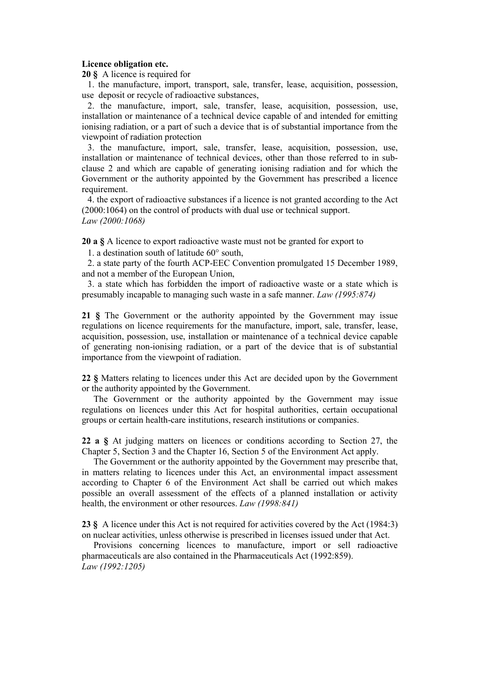## **Licence obligation etc.**

**20 §** A licence is required for

1. the manufacture, import, transport, sale, transfer, lease, acquisition, possession, use deposit or recycle of radioactive substances,

2. the manufacture, import, sale, transfer, lease, acquisition, possession, use, installation or maintenance of a technical device capable of and intended for emitting ionising radiation, or a part of such a device that is of substantial importance from the viewpoint of radiation protection

3. the manufacture, import, sale, transfer, lease, acquisition, possession, use, installation or maintenance of technical devices, other than those referred to in subclause 2 and which are capable of generating ionising radiation and for which the Government or the authority appointed by the Government has prescribed a licence requirement.

4. the export of radioactive substances if a licence is not granted according to the Act (2000:1064) on the control of products with dual use or technical support. *Law (2000:1068)* 

**20 a §** A licence to export radioactive waste must not be granted for export to

1. a destination south of latitude 60° south,

2. a state party of the fourth ACP-EEC Convention promulgated 15 December 1989, and not a member of the European Union,

3. a state which has forbidden the import of radioactive waste or a state which is presumably incapable to managing such waste in a safe manner. *Law (1995:874)*

**21 §** The Government or the authority appointed by the Government may issue regulations on licence requirements for the manufacture, import, sale, transfer, lease, acquisition, possession, use, installation or maintenance of a technical device capable of generating non-ionising radiation, or a part of the device that is of substantial importance from the viewpoint of radiation.

**22 §** Matters relating to licences under this Act are decided upon by the Government or the authority appointed by the Government.

The Government or the authority appointed by the Government may issue regulations on licences under this Act for hospital authorities, certain occupational groups or certain health-care institutions, research institutions or companies.

**22 a §** At judging matters on licences or conditions according to Section 27, the Chapter 5, Section 3 and the Chapter 16, Section 5 of the Environment Act apply.

The Government or the authority appointed by the Government may prescribe that, in matters relating to licences under this Act, an environmental impact assessment according to Chapter 6 of the Environment Act shall be carried out which makes possible an overall assessment of the effects of a planned installation or activity health, the environment or other resources. *Law (1998:841)*

**23 §** A licence under this Act is not required for activities covered by the Act (1984:3) on nuclear activities, unless otherwise is prescribed in licenses issued under that Act.

Provisions concerning licences to manufacture, import or sell radioactive pharmaceuticals are also contained in the Pharmaceuticals Act (1992:859). *Law (1992:1205)*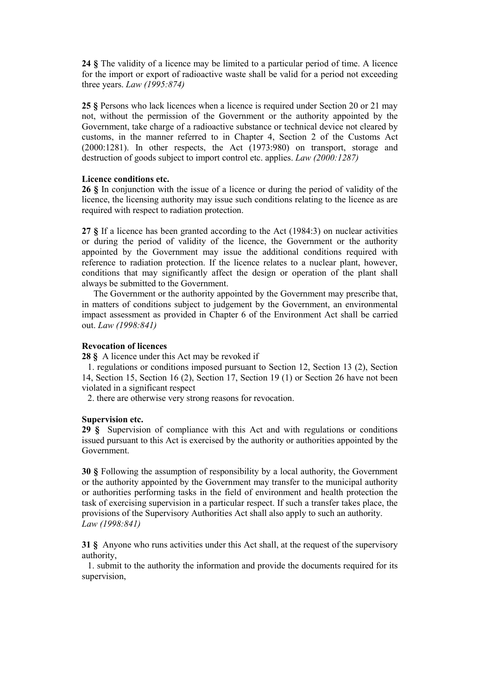**24 §** The validity of a licence may be limited to a particular period of time. A licence for the import or export of radioactive waste shall be valid for a period not exceeding three years. *Law (1995:874)* 

**25 §** Persons who lack licences when a licence is required under Section 20 or 21 may not, without the permission of the Government or the authority appointed by the Government, take charge of a radioactive substance or technical device not cleared by customs, in the manner referred to in Chapter 4, Section 2 of the Customs Act (2000:1281). In other respects, the Act (1973:980) on transport, storage and destruction of goods subject to import control etc. applies. *Law (2000:1287)*

## **Licence conditions etc.**

**26 §** In conjunction with the issue of a licence or during the period of validity of the licence, the licensing authority may issue such conditions relating to the licence as are required with respect to radiation protection.

**27 §** If a licence has been granted according to the Act (1984:3) on nuclear activities or during the period of validity of the licence, the Government or the authority appointed by the Government may issue the additional conditions required with reference to radiation protection. If the licence relates to a nuclear plant, however, conditions that may significantly affect the design or operation of the plant shall always be submitted to the Government.

The Government or the authority appointed by the Government may prescribe that, in matters of conditions subject to judgement by the Government, an environmental impact assessment as provided in Chapter 6 of the Environment Act shall be carried out. *Law (1998:841)*

### **Revocation of licences**

**28 §** A licence under this Act may be revoked if

1. regulations or conditions imposed pursuant to Section 12, Section 13 (2), Section 14, Section 15, Section 16 (2), Section 17, Section 19 (1) or Section 26 have not been violated in a significant respect

2. there are otherwise very strong reasons for revocation.

## **Supervision etc.**

**29 §** Supervision of compliance with this Act and with regulations or conditions issued pursuant to this Act is exercised by the authority or authorities appointed by the Government.

**30 §** Following the assumption of responsibility by a local authority, the Government or the authority appointed by the Government may transfer to the municipal authority or authorities performing tasks in the field of environment and health protection the task of exercising supervision in a particular respect. If such a transfer takes place, the provisions of the Supervisory Authorities Act shall also apply to such an authority. *Law (1998:841)* 

**31 §** Anyone who runs activities under this Act shall, at the request of the supervisory authority,

1. submit to the authority the information and provide the documents required for its supervision,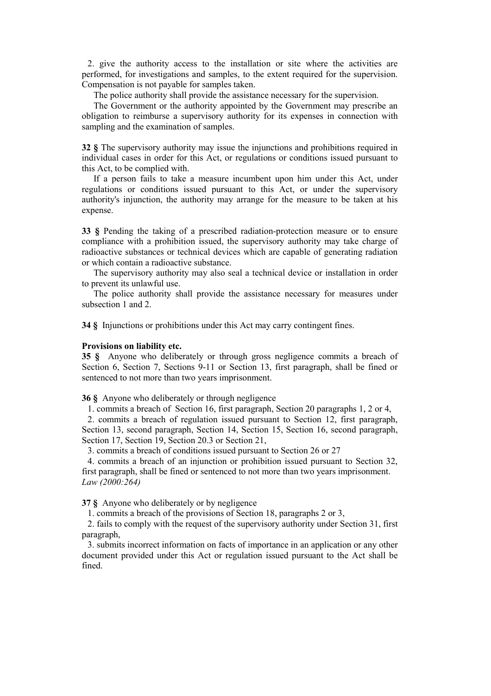2. give the authority access to the installation or site where the activities are performed, for investigations and samples, to the extent required for the supervision. Compensation is not payable for samples taken.

The police authority shall provide the assistance necessary for the supervision.

The Government or the authority appointed by the Government may prescribe an obligation to reimburse a supervisory authority for its expenses in connection with sampling and the examination of samples.

**32 §** The supervisory authority may issue the injunctions and prohibitions required in individual cases in order for this Act, or regulations or conditions issued pursuant to this Act, to be complied with.

If a person fails to take a measure incumbent upon him under this Act, under regulations or conditions issued pursuant to this Act, or under the supervisory authority's injunction, the authority may arrange for the measure to be taken at his expense.

**33 §** Pending the taking of a prescribed radiation-protection measure or to ensure compliance with a prohibition issued, the supervisory authority may take charge of radioactive substances or technical devices which are capable of generating radiation or which contain a radioactive substance.

The supervisory authority may also seal a technical device or installation in order to prevent its unlawful use.

The police authority shall provide the assistance necessary for measures under subsection 1 and 2

**34 §** Injunctions or prohibitions under this Act may carry contingent fines.

### **Provisions on liability etc.**

**35 §** Anyone who deliberately or through gross negligence commits a breach of Section 6, Section 7, Sections 9-11 or Section 13, first paragraph, shall be fined or sentenced to not more than two years imprisonment.

**36 §** Anyone who deliberately or through negligence

1. commits a breach of Section 16, first paragraph, Section 20 paragraphs 1, 2 or 4,

2. commits a breach of regulation issued pursuant to Section 12, first paragraph, Section 13, second paragraph, Section 14, Section 15, Section 16, second paragraph, Section 17, Section 19, Section 20.3 or Section 21,

3. commits a breach of conditions issued pursuant to Section 26 or 27

4. commits a breach of an injunction or prohibition issued pursuant to Section 32, first paragraph, shall be fined or sentenced to not more than two years imprisonment. *Law (2000:264)* 

**37 §** Anyone who deliberately or by negligence

1. commits a breach of the provisions of Section 18, paragraphs 2 or 3,

2. fails to comply with the request of the supervisory authority under Section 31, first paragraph,

3. submits incorrect information on facts of importance in an application or any other document provided under this Act or regulation issued pursuant to the Act shall be fined.